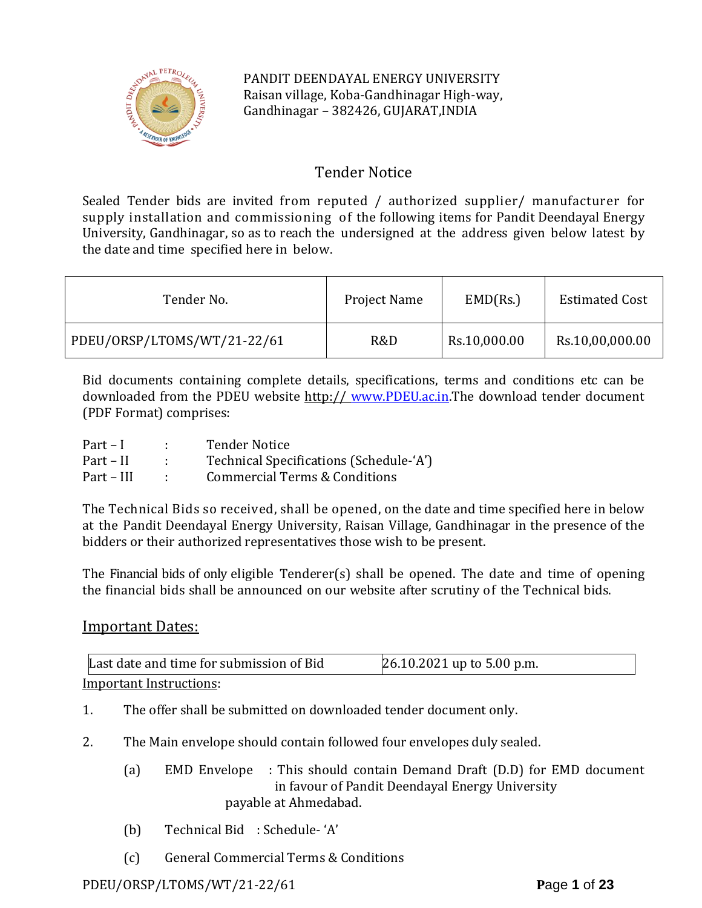

PANDIT DEENDAYAL ENERGY UNIVERSITY Raisan village, Koba-Gandhinagar High-way, Gandhinagar – 382426, GUJARAT,INDIA

# Tender Notice

Sealed Tender bids are invited from reputed / authorized supplier/ manufacturer for supply installation and commissioning of the following items for Pandit Deendayal Energy University, Gandhinagar, so as to reach the undersigned at the address given below latest by the date and time specified here in below.

| Tender No.                  | Project Name | EMD(Rs.)     | <b>Estimated Cost</b> |
|-----------------------------|--------------|--------------|-----------------------|
| PDEU/ORSP/LTOMS/WT/21-22/61 | R&D          | Rs.10,000.00 | Rs.10,00,000.00       |

Bid documents containing complete details, specifications, terms and conditions etc can be downloaded from the PDEU website http:// [www.PDEU.ac.in.](http://www.pdpu.ac.in/)The download tender document (PDF Format) comprises:

| $Part-I$   | <b>Tender Notice</b>                     |
|------------|------------------------------------------|
| Part – II  | Technical Specifications (Schedule-'A')  |
| Part – III | <b>Commercial Terms &amp; Conditions</b> |

The Technical Bids so received, shall be opened, on the date and time specified here in below at the Pandit Deendayal Energy University, Raisan Village, Gandhinagar in the presence of the bidders or their authorized representatives those wish to be present.

The Financial bids of only eligible Tenderer(s) shall be opened. The date and time of opening the financial bids shall be announced on our website after scrutiny of the Technical bids.

## Important Dates:

| Last date and time for submission of Bid | 26.10.2021 up to 5.00 p.m. |
|------------------------------------------|----------------------------|
| Important Instructions:                  |                            |

Important Instructions:

- 1. The offer shall be submitted on downloaded tender document only.
- 2. The Main envelope should contain followed four envelopes duly sealed.
	- (a) EMD Envelope : This should contain Demand Draft (D.D) for EMD document in favour of Pandit Deendayal Energy University payable at Ahmedabad.
	- (b) Technical Bid : Schedule- 'A'
	- (c) General Commercial Terms & Conditions

## PDEU/ORSP/LTOMS/WT/21-22/61 **P**age **1** of **23**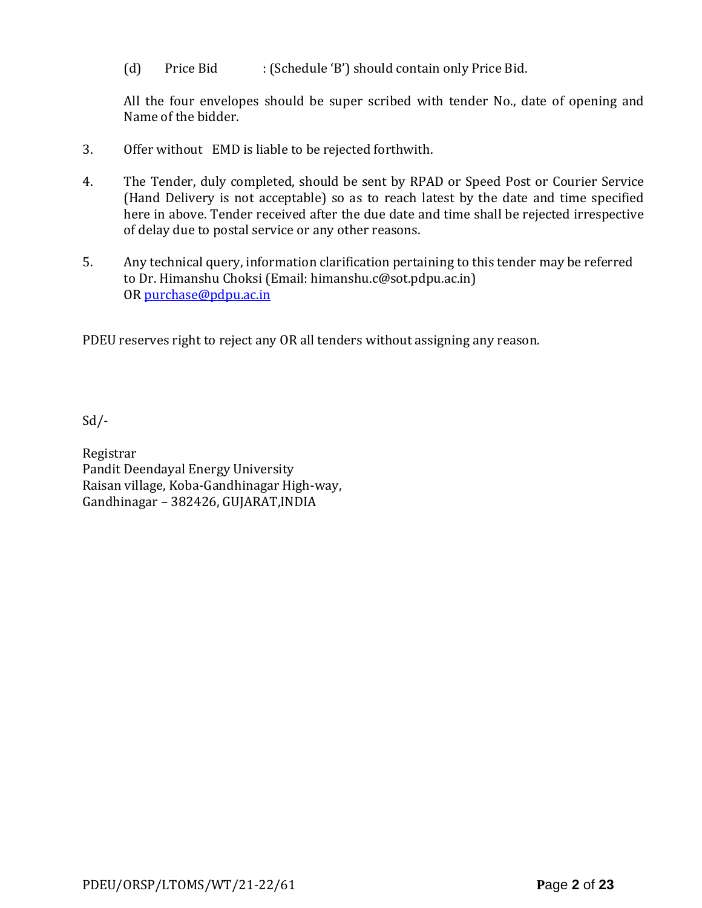(d) Price Bid : (Schedule 'B') should contain only Price Bid.

All the four envelopes should be super scribed with tender No., date of opening and Name of the bidder.

- 3. Offer without EMD is liable to be rejected forthwith.
- 4. The Tender, duly completed, should be sent by RPAD or Speed Post or Courier Service (Hand Delivery is not acceptable) so as to reach latest by the date and time specified here in above. Tender received after the due date and time shall be rejected irrespective of delay due to postal service or any other reasons.
- 5. Any technical query, information clarification pertaining to this tender may be referred to Dr. Himanshu Choksi (Email: himanshu.c@sot.pdpu.ac.in) OR [purchase@pdpu.ac.in](mailto:purchase@pdpu.ac.in)

PDEU reserves right to reject any OR all tenders without assigning any reason.

 $Sd$  /-

Registrar Pandit Deendayal Energy University Raisan village, Koba-Gandhinagar High-way, Gandhinagar – 382426, GUJARAT,INDIA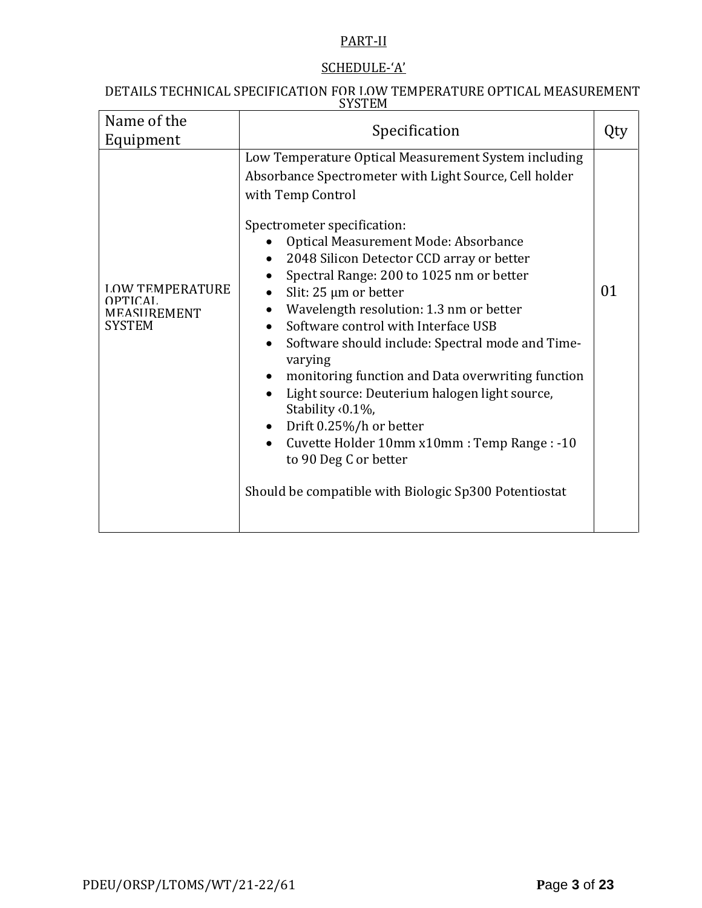# PART-II

## SCHEDULE-'A'

#### DETAILS TECHNICAL SPECIFICATION FOR LOW TEMPERATURE OPTICAL MEASUREMENT **SYSTEM**

| Name of the<br>Equipment                                          | Specification                                                                                                                                                                                                                                                                                                                                                                                                                                                                                                                                                                                                                                                                                                                                                                          |    |
|-------------------------------------------------------------------|----------------------------------------------------------------------------------------------------------------------------------------------------------------------------------------------------------------------------------------------------------------------------------------------------------------------------------------------------------------------------------------------------------------------------------------------------------------------------------------------------------------------------------------------------------------------------------------------------------------------------------------------------------------------------------------------------------------------------------------------------------------------------------------|----|
| <b>LOW TEMPERATURE</b><br>OPTICAL<br>MEASUREMENT<br><b>SYSTEM</b> | Low Temperature Optical Measurement System including<br>Absorbance Spectrometer with Light Source, Cell holder<br>with Temp Control<br>Spectrometer specification:<br>Optical Measurement Mode: Absorbance<br>2048 Silicon Detector CCD array or better<br>Spectral Range: 200 to 1025 nm or better<br>Slit: $25 \mu m$ or better<br>Wavelength resolution: 1.3 nm or better<br>Software control with Interface USB<br>Software should include: Spectral mode and Time-<br>varying<br>monitoring function and Data overwriting function<br>Light source: Deuterium halogen light source,<br>Stability <0.1%,<br>Drift 0.25%/h or better<br>$\bullet$<br>Cuvette Holder 10mm x10mm : Temp Range : -10<br>to 90 Deg C or better<br>Should be compatible with Biologic Sp300 Potentiostat | 01 |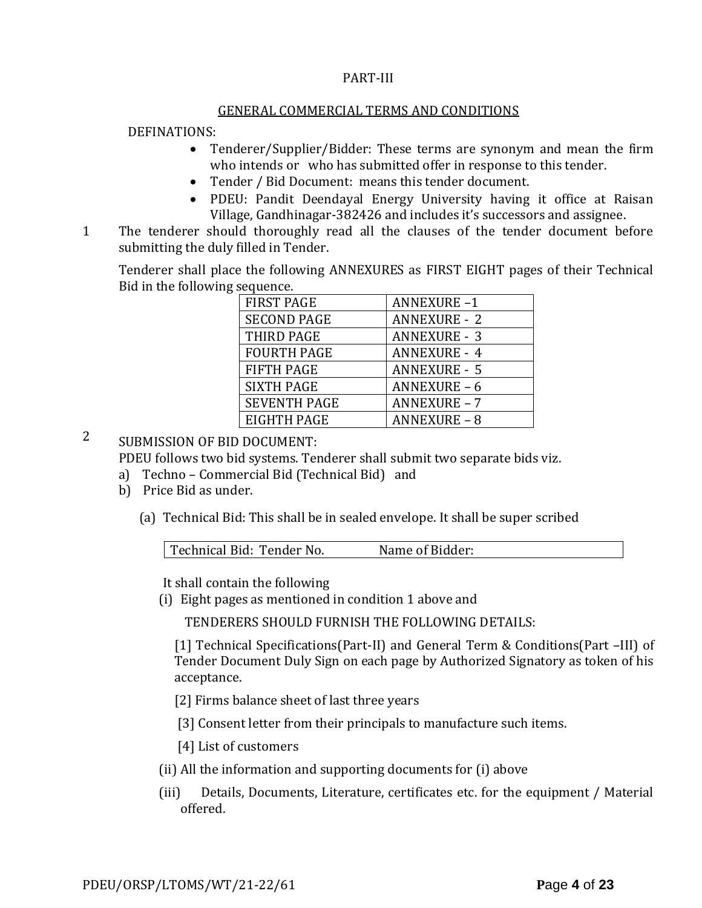### PART-III

#### GENERAL COMMERCIAL TERMS AND CONDITIONS

### DEFINATIONS:

- Tenderer/Supplier/Bidder: These terms are synonym and mean the firm who intends or who has submitted offer in response to this tender.
- Tender / Bid Document: means this tender document.
- PDEU: Pandit Deendayal Energy University having it office at Raisan Village, Gandhinagar-382426 and includes it's successors and assignee.
- 11. The tenderer should thoroughly read all the clauses of the tender document before submitting the duly filled in Tender.

Tenderer shall place the following ANNEXURES as FIRST EIGHT pages of their Technical Bid in the following sequence.

| <b>FIRST PAGE</b>   | <b>ANNEXURE-1</b>   |
|---------------------|---------------------|
| <b>SECOND PAGE</b>  | <b>ANNEXURE - 2</b> |
| THIRD PAGE          | <b>ANNEXURE - 3</b> |
| <b>FOURTH PAGE</b>  | <b>ANNEXURE - 4</b> |
| <b>FIFTH PAGE</b>   | <b>ANNEXURE - 5</b> |
| <b>SIXTH PAGE</b>   | <b>ANNEXURE - 6</b> |
| <b>SEVENTH PAGE</b> | <b>ANNEXURE - 7</b> |
| EIGHTH PAGE         | <b>ANNEXURE - 8</b> |

2 SUBMISSION OF BID DOCUMENT:

PDEU follows two bid systems. Tenderer shall submit two separate bids viz.

- a) Techno Commercial Bid (Technical Bid) and
- b) Price Bid as under.
	- (a) Technical Bid: This shall be in sealed envelope. It shall be super scribed

| Technical Bid: Tender No. | Name of Bidder: |  |
|---------------------------|-----------------|--|
|                           |                 |  |

It shall contain the following

(i) Eight pages as mentioned in condition 1 above and

TENDERERS SHOULD FURNISH THE FOLLOWING DETAILS:

[1] Technical Specifications(Part-II) and General Term & Conditions(Part –III) of Tender Document Duly Sign on each page by Authorized Signatory as token of his acceptance.

[2] Firms balance sheet of last three years

[3] Consent letter from their principals to manufacture such items.

[4] List of customers

- (ii) All the information and supporting documents for (i) above
- (iii) Details, Documents, Literature, certificates etc. for the equipment / Material offered.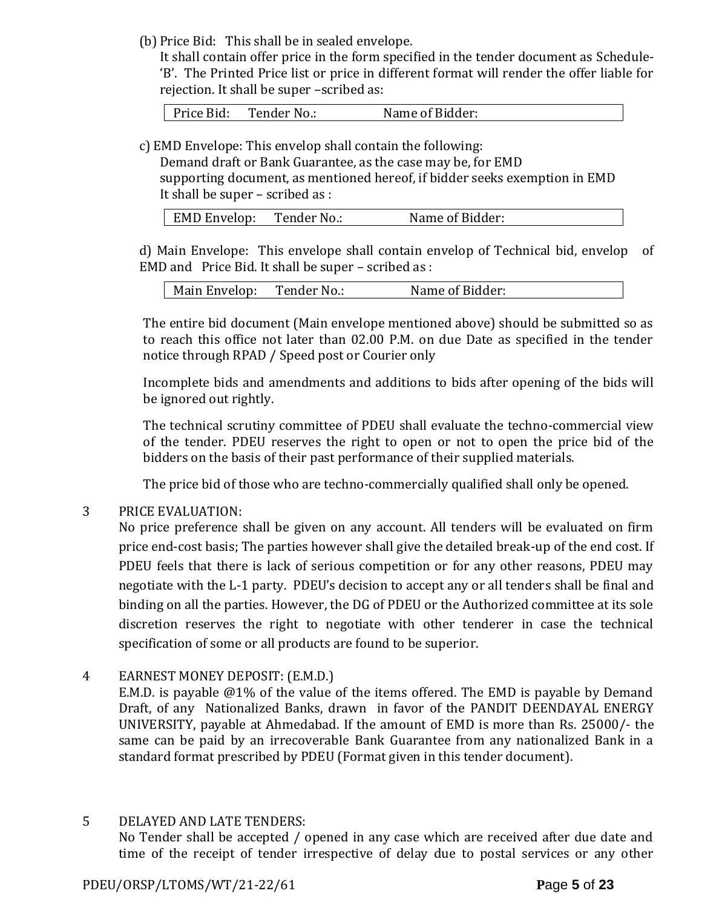(b) Price Bid: This shall be in sealed envelope.

It shall contain offer price in the form specified in the tender document as Schedule- 'B'. The Printed Price list or price in different format will render the offer liable for rejection. It shall be super –scribed as:

Price Bid: Tender No.: Name of Bidder:

c) EMD Envelope: This envelop shall contain the following:

Demand draft or Bank Guarantee, as the case may be, for EMD supporting document, as mentioned hereof, if bidder seeks exemption in EMD It shall be super – scribed as :

| EMD Envelop: | Tender No.: | Name of Bidder: |
|--------------|-------------|-----------------|
|              |             |                 |

d) Main Envelope: This envelope shall contain envelop of Technical bid, envelop of EMD and Price Bid. It shall be super – scribed as :

| Main Envelop: | Tender No.: | Name of Bidder: |
|---------------|-------------|-----------------|
|---------------|-------------|-----------------|

The entire bid document (Main envelope mentioned above) should be submitted so as to reach this office not later than 02.00 P.M. on due Date as specified in the tender notice through RPAD / Speed post or Courier only

Incomplete bids and amendments and additions to bids after opening of the bids will be ignored out rightly.

The technical scrutiny committee of PDEU shall evaluate the techno-commercial view of the tender. PDEU reserves the right to open or not to open the price bid of the bidders on the basis of their past performance of their supplied materials.

The price bid of those who are techno-commercially qualified shall only be opened.

### 3 PRICE EVALUATION:

No price preference shall be given on any account. All tenders will be evaluated on firm price end-cost basis; The parties however shall give the detailed break-up of the end cost. If PDEU feels that there is lack of serious competition or for any other reasons, PDEU may negotiate with the L-1 party. PDEU's decision to accept any or all tenders shall be final and binding on all the parties. However, the DG of PDEU or the Authorized committee at its sole discretion reserves the right to negotiate with other tenderer in case the technical specification of some or all products are found to be superior.

## 4 EARNEST MONEY DEPOSIT: (E.M.D.)

E.M.D. is payable @1% of the value of the items offered. The EMD is payable by Demand Draft, of any Nationalized Banks, drawn in favor of the PANDIT DEENDAYAL ENERGY UNIVERSITY, payable at Ahmedabad. If the amount of EMD is more than Rs. 25000/- the same can be paid by an irrecoverable Bank Guarantee from any nationalized Bank in a standard format prescribed by PDEU (Format given in this tender document).

### 5 DELAYED AND LATE TENDERS:

No Tender shall be accepted / opened in any case which are received after due date and time of the receipt of tender irrespective of delay due to postal services or any other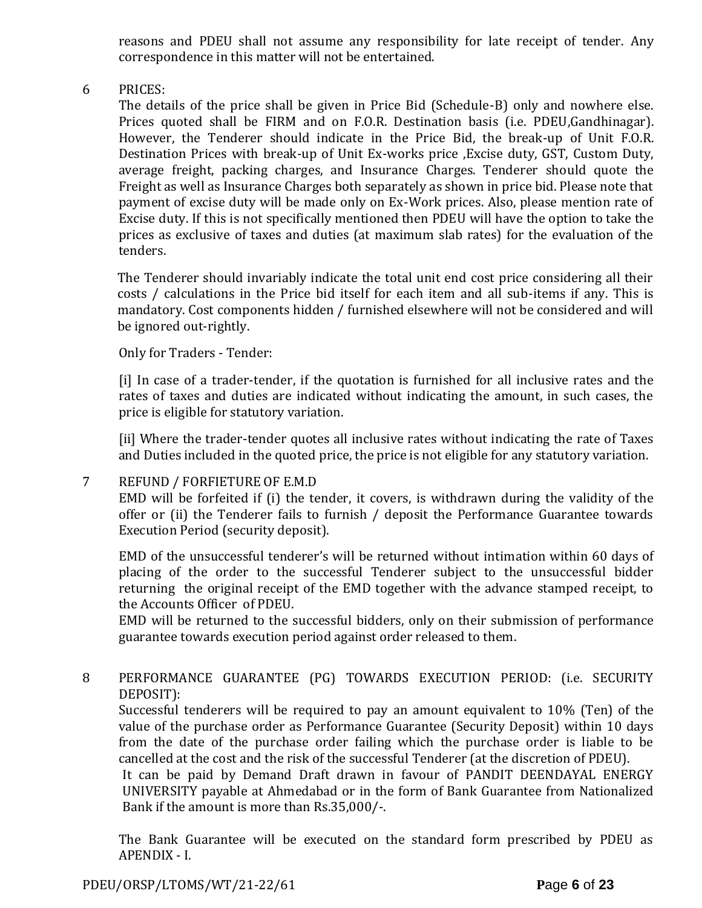reasons and PDEU shall not assume any responsibility for late receipt of tender. Any correspondence in this matter will not be entertained.

6 PRICES:

The details of the price shall be given in Price Bid (Schedule-B) only and nowhere else. Prices quoted shall be FIRM and on F.O.R. Destination basis (i.e. PDEU,Gandhinagar). However, the Tenderer should indicate in the Price Bid, the break-up of Unit F.O.R. Destination Prices with break-up of Unit Ex-works price ,Excise duty, GST, Custom Duty, average freight, packing charges, and Insurance Charges. Tenderer should quote the Freight as well as Insurance Charges both separately as shown in price bid. Please note that payment of excise duty will be made only on Ex-Work prices. Also, please mention rate of Excise duty. If this is not specifically mentioned then PDEU will have the option to take the prices as exclusive of taxes and duties (at maximum slab rates) for the evaluation of the tenders.

The Tenderer should invariably indicate the total unit end cost price considering all their costs / calculations in the Price bid itself for each item and all sub-items if any. This is mandatory. Cost components hidden / furnished elsewhere will not be considered and will be ignored out-rightly.

Only for Traders - Tender:

[i] In case of a trader-tender, if the quotation is furnished for all inclusive rates and the rates of taxes and duties are indicated without indicating the amount, in such cases, the price is eligible for statutory variation.

[ii] Where the trader-tender quotes all inclusive rates without indicating the rate of Taxes and Duties included in the quoted price, the price is not eligible for any statutory variation.

### 7 REFUND / FORFIETURE OF E.M.D

EMD will be forfeited if (i) the tender, it covers, is withdrawn during the validity of the offer or (ii) the Tenderer fails to furnish / deposit the Performance Guarantee towards Execution Period (security deposit).

EMD of the unsuccessful tenderer's will be returned without intimation within 60 days of placing of the order to the successful Tenderer subject to the unsuccessful bidder returning the original receipt of the EMD together with the advance stamped receipt, to the Accounts Officer of PDEU.

EMD will be returned to the successful bidders, only on their submission of performance guarantee towards execution period against order released to them.

8 PERFORMANCE GUARANTEE (PG) TOWARDS EXECUTION PERIOD: (i.e. SECURITY DEPOSIT):

Successful tenderers will be required to pay an amount equivalent to 10% (Ten) of the value of the purchase order as Performance Guarantee (Security Deposit) within 10 days from the date of the purchase order failing which the purchase order is liable to be cancelled at the cost and the risk of the successful Tenderer (at the discretion of PDEU).

It can be paid by Demand Draft drawn in favour of PANDIT DEENDAYAL ENERGY UNIVERSITY payable at Ahmedabad or in the form of Bank Guarantee from Nationalized Bank if the amount is more than Rs.35,000/-.

The Bank Guarantee will be executed on the standard form prescribed by PDEU as APENDIX - I.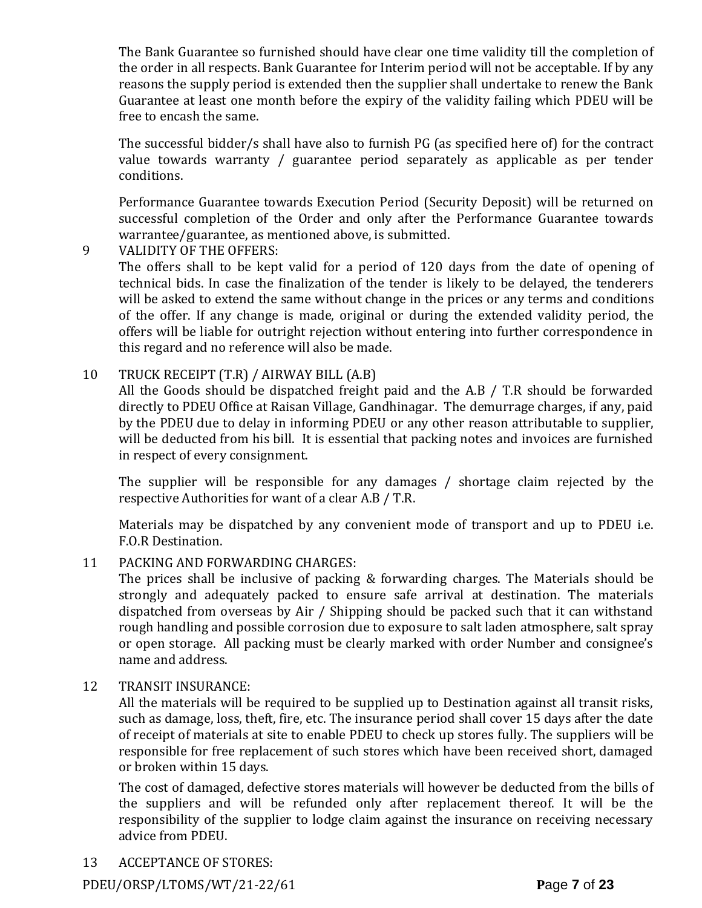The Bank Guarantee so furnished should have clear one time validity till the completion of the order in all respects. Bank Guarantee for Interim period will not be acceptable. If by any reasons the supply period is extended then the supplier shall undertake to renew the Bank Guarantee at least one month before the expiry of the validity failing which PDEU will be free to encash the same.

The successful bidder/s shall have also to furnish PG (as specified here of) for the contract value towards warranty / guarantee period separately as applicable as per tender conditions.

Performance Guarantee towards Execution Period (Security Deposit) will be returned on successful completion of the Order and only after the Performance Guarantee towards warrantee/guarantee, as mentioned above, is submitted.

9 VALIDITY OF THE OFFERS:

The offers shall to be kept valid for a period of 120 days from the date of opening of technical bids. In case the finalization of the tender is likely to be delayed, the tenderers will be asked to extend the same without change in the prices or any terms and conditions of the offer. If any change is made, original or during the extended validity period, the offers will be liable for outright rejection without entering into further correspondence in this regard and no reference will also be made.

## 10 TRUCK RECEIPT (T.R) / AIRWAY BILL (A.B)

All the Goods should be dispatched freight paid and the A.B / T.R should be forwarded directly to PDEU Office at Raisan Village, Gandhinagar. The demurrage charges, if any, paid by the PDEU due to delay in informing PDEU or any other reason attributable to supplier, will be deducted from his bill. It is essential that packing notes and invoices are furnished in respect of every consignment.

The supplier will be responsible for any damages / shortage claim rejected by the respective Authorities for want of a clear A.B / T.R.

Materials may be dispatched by any convenient mode of transport and up to PDEU i.e. F.O.R Destination.

### 11 PACKING AND FORWARDING CHARGES:

The prices shall be inclusive of packing & forwarding charges. The Materials should be strongly and adequately packed to ensure safe arrival at destination. The materials dispatched from overseas by Air / Shipping should be packed such that it can withstand rough handling and possible corrosion due to exposure to salt laden atmosphere, salt spray or open storage. All packing must be clearly marked with order Number and consignee's name and address.

### 12 TRANSIT INSURANCE:

All the materials will be required to be supplied up to Destination against all transit risks, such as damage, loss, theft, fire, etc. The insurance period shall cover 15 days after the date of receipt of materials at site to enable PDEU to check up stores fully. The suppliers will be responsible for free replacement of such stores which have been received short, damaged or broken within 15 days.

The cost of damaged, defective stores materials will however be deducted from the bills of the suppliers and will be refunded only after replacement thereof. It will be the responsibility of the supplier to lodge claim against the insurance on receiving necessary advice from PDEU.

13 ACCEPTANCE OF STORES:

PDEU/ORSP/LTOMS/WT/21-22/61 **P**age **7** of **23**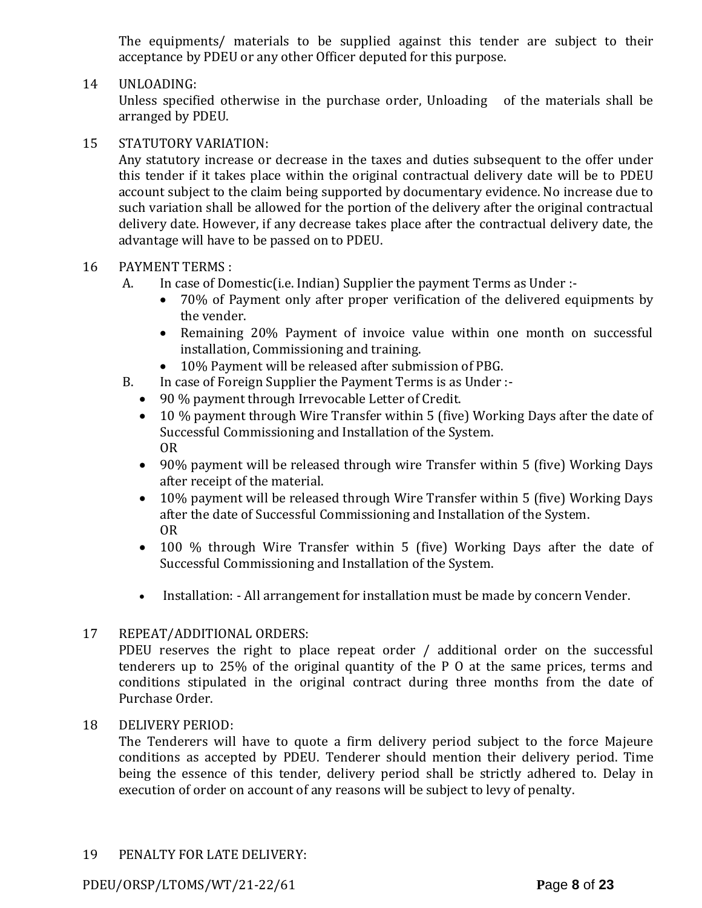The equipments/ materials to be supplied against this tender are subject to their acceptance by PDEU or any other Officer deputed for this purpose.

### 14 UNLOADING:

Unless specified otherwise in the purchase order, Unloading of the materials shall be arranged by PDEU.

## 15 STATUTORY VARIATION:

Any statutory increase or decrease in the taxes and duties subsequent to the offer under this tender if it takes place within the original contractual delivery date will be to PDEU account subject to the claim being supported by documentary evidence. No increase due to such variation shall be allowed for the portion of the delivery after the original contractual delivery date. However, if any decrease takes place after the contractual delivery date, the advantage will have to be passed on to PDEU.

## 16 PAYMENT TERMS :

- A. In case of Domestic(i.e. Indian) Supplier the payment Terms as Under :-
	- 70% of Payment only after proper verification of the delivered equipments by the vender.
	- Remaining 20% Payment of invoice value within one month on successful installation, Commissioning and training.
	- 10% Payment will be released after submission of PBG.
- B. In case of Foreign Supplier the Payment Terms is as Under :-
	- 90 % payment through Irrevocable Letter of Credit.
	- 10 % payment through Wire Transfer within 5 (five) Working Days after the date of Successful Commissioning and Installation of the System. OR
	- 90% payment will be released through wire Transfer within 5 (five) Working Days after receipt of the material.
	- 10% payment will be released through Wire Transfer within 5 (five) Working Days after the date of Successful Commissioning and Installation of the System. OR
	- 100 % through Wire Transfer within 5 (five) Working Days after the date of Successful Commissioning and Installation of the System.
	- Installation: All arrangement for installation must be made by concern Vender.

## 17 REPEAT/ADDITIONAL ORDERS:

PDEU reserves the right to place repeat order / additional order on the successful tenderers up to 25% of the original quantity of the P O at the same prices, terms and conditions stipulated in the original contract during three months from the date of Purchase Order.

## 18 DELIVERY PERIOD:

The Tenderers will have to quote a firm delivery period subject to the force Majeure conditions as accepted by PDEU. Tenderer should mention their delivery period. Time being the essence of this tender, delivery period shall be strictly adhered to. Delay in execution of order on account of any reasons will be subject to levy of penalty.

## 19 PENALTY FOR LATE DELIVERY:

PDEU/ORSP/LTOMS/WT/21-22/61 **P**age **8** of **23**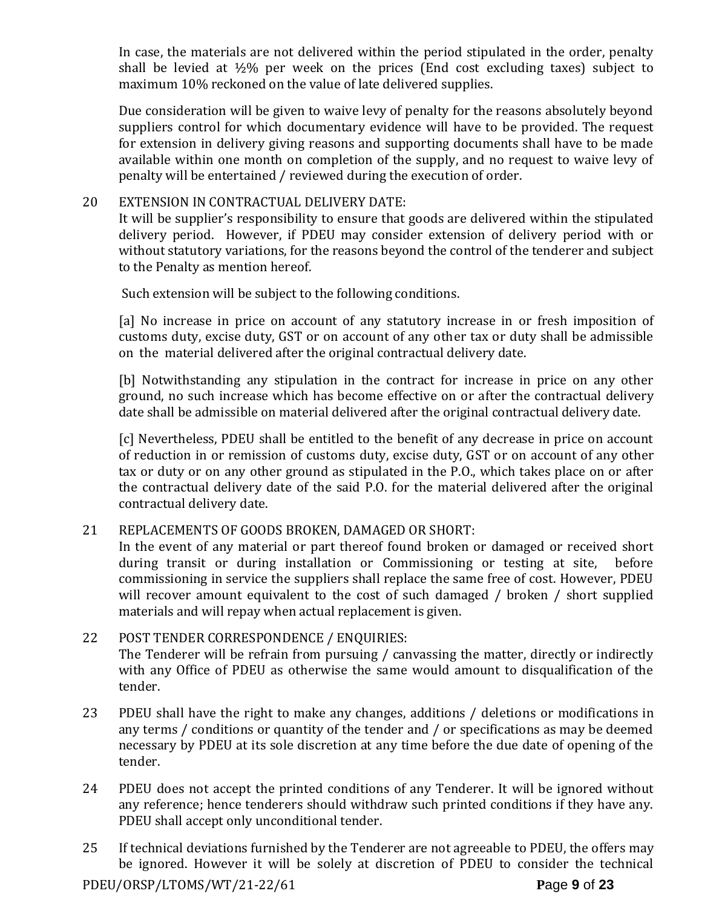In case, the materials are not delivered within the period stipulated in the order, penalty shall be levied at  $\frac{1}{2}\%$  per week on the prices (End cost excluding taxes) subject to maximum 10% reckoned on the value of late delivered supplies.

Due consideration will be given to waive levy of penalty for the reasons absolutely beyond suppliers control for which documentary evidence will have to be provided. The request for extension in delivery giving reasons and supporting documents shall have to be made available within one month on completion of the supply, and no request to waive levy of penalty will be entertained / reviewed during the execution of order.

## 20 EXTENSION IN CONTRACTUAL DELIVERY DATE:

It will be supplier's responsibility to ensure that goods are delivered within the stipulated delivery period. However, if PDEU may consider extension of delivery period with or without statutory variations, for the reasons beyond the control of the tenderer and subject to the Penalty as mention hereof.

Such extension will be subject to the following conditions.

[a] No increase in price on account of any statutory increase in or fresh imposition of customs duty, excise duty, GST or on account of any other tax or duty shall be admissible on the material delivered after the original contractual delivery date.

[b] Notwithstanding any stipulation in the contract for increase in price on any other ground, no such increase which has become effective on or after the contractual delivery date shall be admissible on material delivered after the original contractual delivery date.

[c] Nevertheless, PDEU shall be entitled to the benefit of any decrease in price on account of reduction in or remission of customs duty, excise duty, GST or on account of any other tax or duty or on any other ground as stipulated in the P.O., which takes place on or after the contractual delivery date of the said P.O. for the material delivered after the original contractual delivery date.

### 21 REPLACEMENTS OF GOODS BROKEN, DAMAGED OR SHORT:

In the event of any material or part thereof found broken or damaged or received short during transit or during installation or Commissioning or testing at site, before commissioning in service the suppliers shall replace the same free of cost. However, PDEU will recover amount equivalent to the cost of such damaged / broken / short supplied materials and will repay when actual replacement is given.

- 22 POST TENDER CORRESPONDENCE / ENQUIRIES: The Tenderer will be refrain from pursuing / canvassing the matter, directly or indirectly with any Office of PDEU as otherwise the same would amount to disqualification of the tender.
- 23 PDEU shall have the right to make any changes, additions / deletions or modifications in any terms / conditions or quantity of the tender and / or specifications as may be deemed necessary by PDEU at its sole discretion at any time before the due date of opening of the tender.
- 24 PDEU does not accept the printed conditions of any Tenderer. It will be ignored without any reference; hence tenderers should withdraw such printed conditions if they have any. PDEU shall accept only unconditional tender.
- 25 If technical deviations furnished by the Tenderer are not agreeable to PDEU, the offers may be ignored. However it will be solely at discretion of PDEU to consider the technical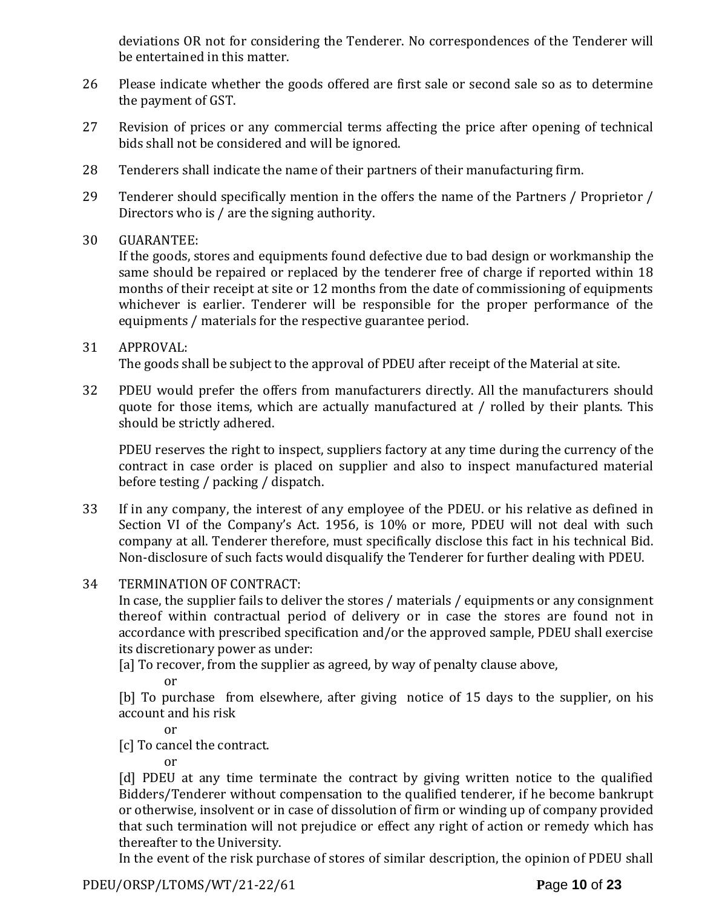deviations OR not for considering the Tenderer. No correspondences of the Tenderer will be entertained in this matter.

- 26 Please indicate whether the goods offered are first sale or second sale so as to determine the payment of GST.
- 27 Revision of prices or any commercial terms affecting the price after opening of technical bids shall not be considered and will be ignored.
- 28 Tenderers shall indicate the name of their partners of their manufacturing firm.
- 29 Tenderer should specifically mention in the offers the name of the Partners / Proprietor / Directors who is / are the signing authority.
- 30 GUARANTEE:

If the goods, stores and equipments found defective due to bad design or workmanship the same should be repaired or replaced by the tenderer free of charge if reported within 18 months of their receipt at site or 12 months from the date of commissioning of equipments whichever is earlier. Tenderer will be responsible for the proper performance of the equipments / materials for the respective guarantee period.

#### 31 APPROVAL: The goods shall be subject to the approval of PDEU after receipt of the Material at site.

32 PDEU would prefer the offers from manufacturers directly. All the manufacturers should quote for those items, which are actually manufactured at / rolled by their plants. This should be strictly adhered.

PDEU reserves the right to inspect, suppliers factory at any time during the currency of the contract in case order is placed on supplier and also to inspect manufactured material before testing / packing / dispatch.

- 33 If in any company, the interest of any employee of the PDEU. or his relative as defined in Section VI of the Company's Act. 1956, is 10% or more, PDEU will not deal with such company at all. Tenderer therefore, must specifically disclose this fact in his technical Bid. Non-disclosure of such facts would disqualify the Tenderer for further dealing with PDEU.
- 34 TERMINATION OF CONTRACT:

In case, the supplier fails to deliver the stores / materials / equipments or any consignment thereof within contractual period of delivery or in case the stores are found not in accordance with prescribed specification and/or the approved sample, PDEU shall exercise its discretionary power as under:

[a] To recover, from the supplier as agreed, by way of penalty clause above,

or

[b] To purchase from elsewhere, after giving notice of 15 days to the supplier, on his account and his risk

or

[c] To cancel the contract.

or

[d] PDEU at any time terminate the contract by giving written notice to the qualified Bidders/Tenderer without compensation to the qualified tenderer, if he become bankrupt or otherwise, insolvent or in case of dissolution of firm or winding up of company provided that such termination will not prejudice or effect any right of action or remedy which has thereafter to the University.

In the event of the risk purchase of stores of similar description, the opinion of PDEU shall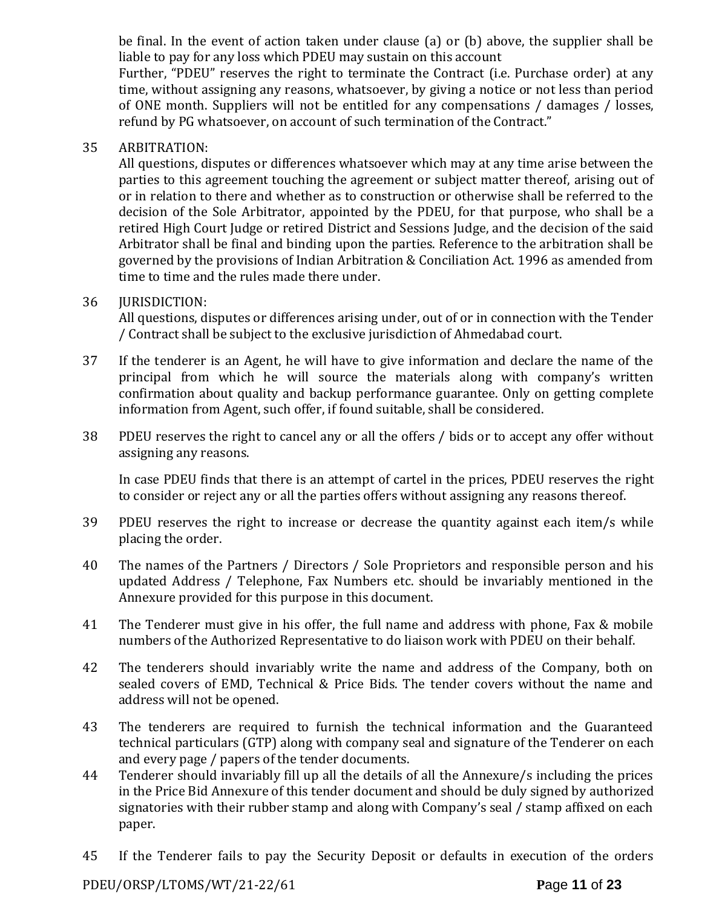be final. In the event of action taken under clause (a) or (b) above, the supplier shall be liable to pay for any loss which PDEU may sustain on this account

Further, "PDEU" reserves the right to terminate the Contract (i.e. Purchase order) at any time, without assigning any reasons, whatsoever, by giving a notice or not less than period of ONE month. Suppliers will not be entitled for any compensations / damages / losses, refund by PG whatsoever, on account of such termination of the Contract."

#### 35 ARBITRATION:

All questions, disputes or differences whatsoever which may at any time arise between the parties to this agreement touching the agreement or subject matter thereof, arising out of or in relation to there and whether as to construction or otherwise shall be referred to the decision of the Sole Arbitrator, appointed by the PDEU, for that purpose, who shall be a retired High Court Judge or retired District and Sessions Judge, and the decision of the said Arbitrator shall be final and binding upon the parties. Reference to the arbitration shall be governed by the provisions of Indian Arbitration & Conciliation Act. 1996 as amended from time to time and the rules made there under.

#### 36 JURISDICTION:

All questions, disputes or differences arising under, out of or in connection with the Tender / Contract shall be subject to the exclusive jurisdiction of Ahmedabad court.

- 37 If the tenderer is an Agent, he will have to give information and declare the name of the principal from which he will source the materials along with company's written confirmation about quality and backup performance guarantee. Only on getting complete information from Agent, such offer, if found suitable, shall be considered.
- 38 PDEU reserves the right to cancel any or all the offers / bids or to accept any offer without assigning any reasons.

In case PDEU finds that there is an attempt of cartel in the prices, PDEU reserves the right to consider or reject any or all the parties offers without assigning any reasons thereof.

- 39 PDEU reserves the right to increase or decrease the quantity against each item/s while placing the order.
- 40 The names of the Partners / Directors / Sole Proprietors and responsible person and his updated Address / Telephone, Fax Numbers etc. should be invariably mentioned in the Annexure provided for this purpose in this document.
- 41 The Tenderer must give in his offer, the full name and address with phone, Fax & mobile numbers of the Authorized Representative to do liaison work with PDEU on their behalf.
- 42 The tenderers should invariably write the name and address of the Company, both on sealed covers of EMD, Technical & Price Bids. The tender covers without the name and address will not be opened.
- 43 The tenderers are required to furnish the technical information and the Guaranteed technical particulars (GTP) along with company seal and signature of the Tenderer on each and every page / papers of the tender documents.
- 44 Tenderer should invariably fill up all the details of all the Annexure/s including the prices in the Price Bid Annexure of this tender document and should be duly signed by authorized signatories with their rubber stamp and along with Company's seal / stamp affixed on each paper.
- 45 If the Tenderer fails to pay the Security Deposit or defaults in execution of the orders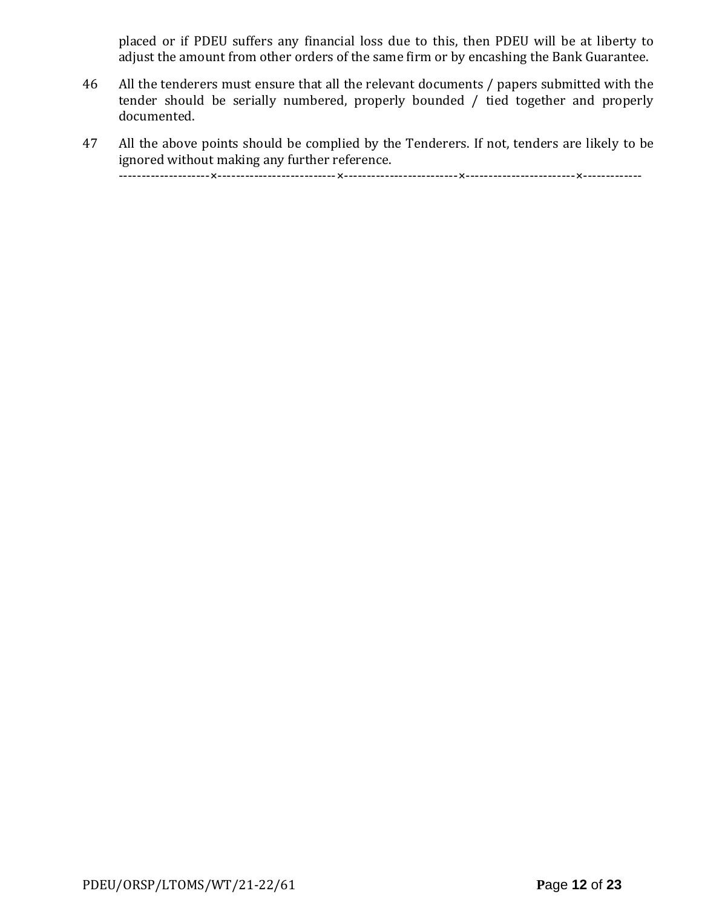placed or if PDEU suffers any financial loss due to this, then PDEU will be at liberty to adjust the amount from other orders of the same firm or by encashing the Bank Guarantee.

- 46 All the tenderers must ensure that all the relevant documents / papers submitted with the tender should be serially numbered, properly bounded / tied together and properly documented.
- 47 All the above points should be complied by the Tenderers. If not, tenders are likely to be ignored without making any further reference. --------------------×--------------------------×-------------------------×------------------------×-------------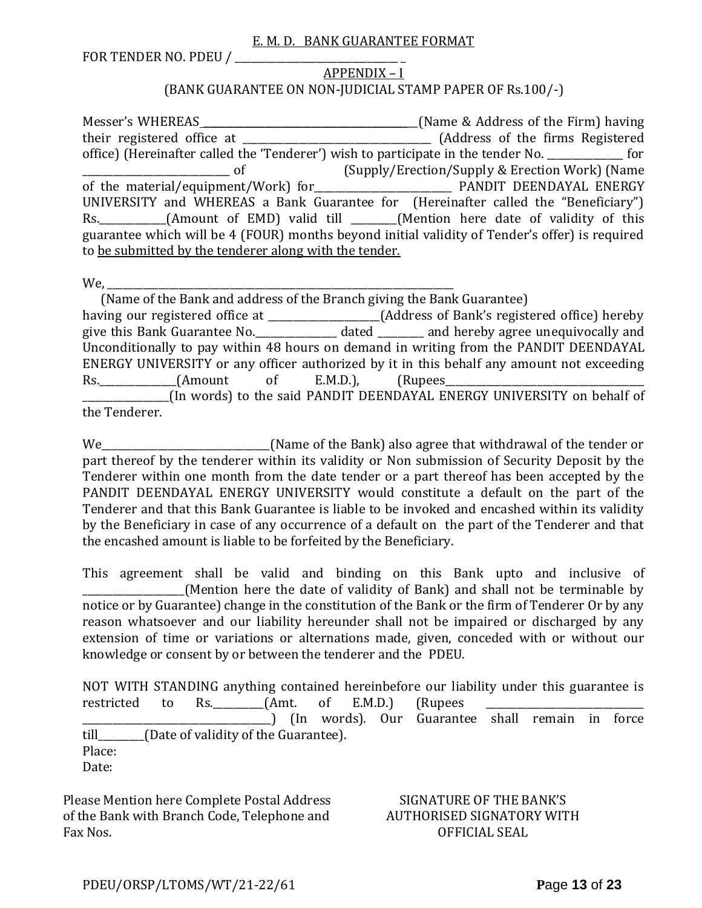#### E. M. D. BANK GUARANTEE FORMAT

FOR TENDER NO. PDEU / \_\_\_\_\_\_\_\_\_\_\_\_\_\_\_\_\_\_\_\_\_\_\_\_\_\_\_\_\_\_\_\_ \_

#### APPENDIX – I (BANK GUARANTEE ON NON-JUDICIAL STAMP PAPER OF Rs.100/-)

Messer's WHEREAS \_\_\_\_\_\_\_\_\_\_\_\_\_\_\_\_\_\_\_\_\_\_\_\_\_\_\_\_\_\_\_\_\_\_\_\_\_\_\_\_\_\_(Name & Address of the Firm) having their registered office at \_\_\_\_\_\_\_\_\_\_\_\_\_\_\_\_\_\_\_\_\_\_\_\_\_\_\_\_\_\_\_\_\_\_\_\_\_ (Address of the firms Registered office) (Hereinafter called the 'Tenderer') wish to participate in the tender No. \_\_\_\_\_\_\_\_\_\_\_\_\_\_\_ for \_\_\_\_\_\_\_\_\_\_\_\_\_\_\_\_\_\_\_\_\_\_\_\_\_\_\_\_\_ of (Supply/Erection/Supply & Erection Work) (Name of the material/equipment/Work) for\_\_\_\_\_\_\_\_\_\_\_\_\_\_\_\_\_\_\_\_\_\_\_\_\_\_\_ PANDIT DEENDAYAL ENERGY UNIVERSITY and WHEREAS a Bank Guarantee for (Hereinafter called the "Beneficiary") Rs. \_\_\_\_\_\_\_\_\_\_(Amount of EMD) valid till \_\_\_\_\_\_(Mention here date of validity of this guarantee which will be 4 (FOUR) months beyond initial validity of Tender's offer) is required to be submitted by the tenderer along with the tender.

We,

 (Name of the Bank and address of the Branch giving the Bank Guarantee) having our registered office at \_\_\_\_\_\_\_\_\_\_\_\_\_\_\_\_\_\_\_\_\_\_(Address of Bank's registered office) hereby give this Bank Guarantee No.\_\_\_\_\_\_\_\_\_\_\_\_\_\_\_\_ dated \_\_\_\_\_\_\_\_\_ and hereby agree unequivocally and Unconditionally to pay within 48 hours on demand in writing from the PANDIT DEENDAYAL ENERGY UNIVERSITY or any officer authorized by it in this behalf any amount not exceeding Rs. (Amount of E.M.D.), (Rupees \_\_\_\_\_\_\_\_\_\_\_\_\_\_\_\_\_(In words) to the said PANDIT DEENDAYAL ENERGY UNIVERSITY on behalf of the Tenderer.

We\_\_\_\_\_\_\_\_\_\_\_\_\_\_\_\_\_\_\_\_\_\_\_\_\_\_\_\_\_\_\_\_\_(Name of the Bank) also agree that withdrawal of the tender or part thereof by the tenderer within its validity or Non submission of Security Deposit by the Tenderer within one month from the date tender or a part thereof has been accepted by the PANDIT DEENDAYAL ENERGY UNIVERSITY would constitute a default on the part of the Tenderer and that this Bank Guarantee is liable to be invoked and encashed within its validity by the Beneficiary in case of any occurrence of a default on the part of the Tenderer and that the encashed amount is liable to be forfeited by the Beneficiary.

This agreement shall be valid and binding on this Bank upto and inclusive of (Mention here the date of validity of Bank) and shall not be terminable by notice or by Guarantee) change in the constitution of the Bank or the firm of Tenderer Or by any reason whatsoever and our liability hereunder shall not be impaired or discharged by any extension of time or variations or alternations made, given, conceded with or without our knowledge or consent by or between the tenderer and the PDEU.

NOT WITH STANDING anything contained hereinbefore our liability under this guarantee is restricted to Rs.  $(Amt. of E.M.D.)$  (Rupees \_\_\_\_\_\_\_\_\_\_\_\_\_\_\_\_\_\_\_\_\_\_\_\_\_\_\_\_\_\_\_\_\_\_\_\_\_) (In words). Our Guarantee shall remain in force till\_\_\_\_\_\_\_\_\_(Date of validity of the Guarantee). Place: Date:

Please Mention here Complete Postal Address of the Bank with Branch Code, Telephone and Fax Nos.

SIGNATURE OF THE BANK'S AUTHORISED SIGNATORY WITH OFFICIAL SEAL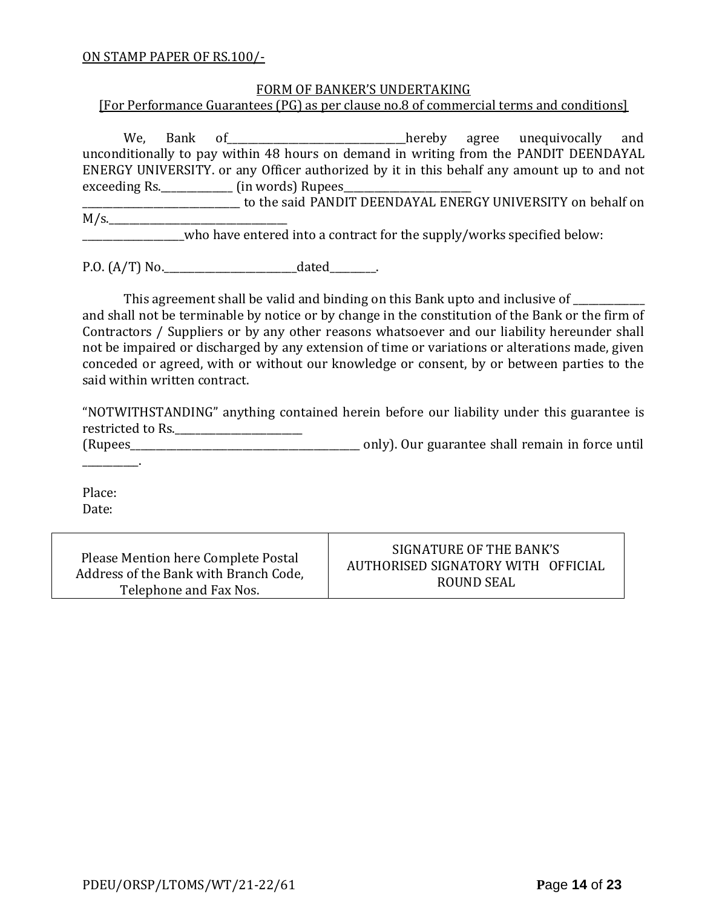#### ON STAMP PAPER OF RS.100/-

#### FORM OF BANKER'S UNDERTAKING

[For Performance Guarantees (PG) as per clause no.8 of commercial terms and conditions]

We, Bank of\_\_\_\_\_\_\_\_\_\_\_\_\_\_\_\_\_\_\_\_\_\_\_\_hereby agree unequivocally and unconditionally to pay within 48 hours on demand in writing from the PANDIT DEENDAYAL ENERGY UNIVERSITY. or any Officer authorized by it in this behalf any amount up to and not exceeding Rs.\_\_\_\_\_\_\_\_\_\_\_\_\_\_\_\_\_\_\_\_\_ (in words) Rupees\_

\_\_\_\_\_\_\_\_\_\_\_\_\_\_\_\_\_\_\_\_\_\_\_\_\_\_\_\_\_\_\_ to the said PANDIT DEENDAYAL ENERGY UNIVERSITY on behalf on  $M/s$ .

who have entered into a contract for the supply/works specified below:

P.O. (A/T) No.\_\_\_\_\_\_\_\_\_\_\_\_\_\_\_\_\_\_\_\_\_\_\_\_\_\_dated\_\_\_\_\_\_\_\_\_.

This agreement shall be valid and binding on this Bank upto and inclusive of \_\_\_\_\_\_\_\_\_\_

and shall not be terminable by notice or by change in the constitution of the Bank or the firm of Contractors / Suppliers or by any other reasons whatsoever and our liability hereunder shall not be impaired or discharged by any extension of time or variations or alterations made, given conceded or agreed, with or without our knowledge or consent, by or between parties to the said within written contract.

"NOTWITHSTANDING" anything contained herein before our liability under this guarantee is restricted to Rs.\_\_\_\_\_\_\_\_\_\_\_\_\_\_\_\_\_\_\_\_\_\_\_\_\_

(Rupees\_\_\_\_\_\_\_\_\_\_\_\_\_\_\_\_\_\_\_\_\_\_\_\_\_\_\_\_\_\_\_\_\_\_\_\_\_\_\_\_\_\_\_\_\_ only). Our guarantee shall remain in force until

Place: Date:

\_\_\_\_\_\_\_\_\_\_\_.

Please Mention here Complete Postal Address of the Bank with Branch Code, Telephone and Fax Nos.

SIGNATURE OF THE BANK'S AUTHORISED SIGNATORY WITH OFFICIAL ROUND SEAL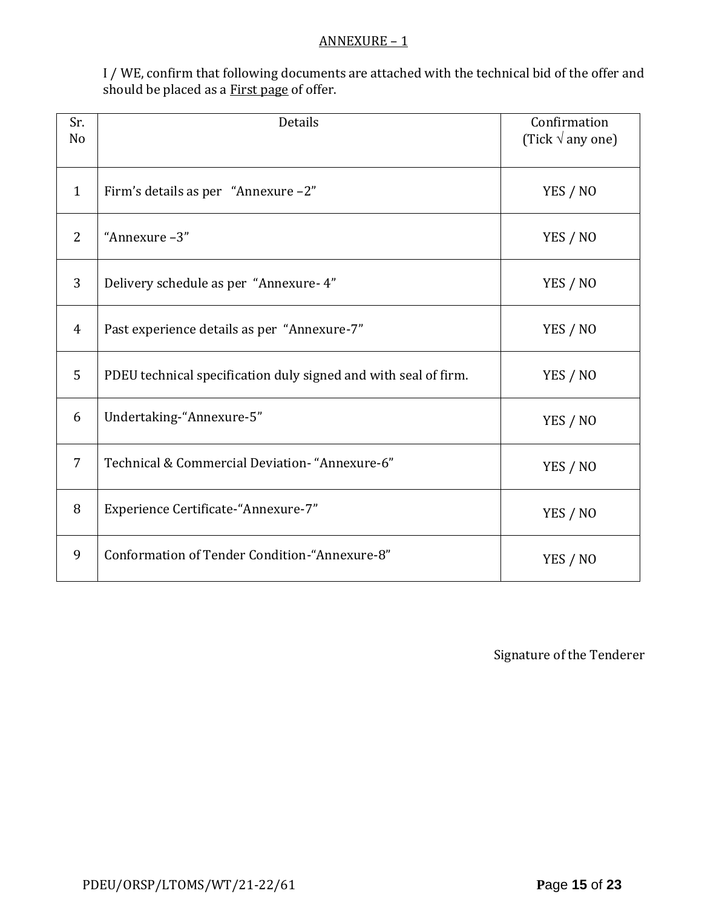#### ANNEXURE – 1

I / WE, confirm that following documents are attached with the technical bid of the offer and should be placed as a **First page** of offer.

| Sr.<br>N <sub>o</sub> | Details                                                         | Confirmation<br>(Tick $\sqrt{ }$ any one) |
|-----------------------|-----------------------------------------------------------------|-------------------------------------------|
| $\mathbf{1}$          | Firm's details as per "Annexure -2"                             | YES / NO                                  |
| 2                     | "Annexure-3"                                                    | YES / NO                                  |
| 3                     | Delivery schedule as per "Annexure- 4"                          | YES / NO                                  |
| $\overline{4}$        | Past experience details as per "Annexure-7"                     | YES / NO                                  |
| 5                     | PDEU technical specification duly signed and with seal of firm. | YES / NO                                  |
| 6                     | Undertaking-"Annexure-5"                                        | YES / NO                                  |
| 7                     | Technical & Commercial Deviation- "Annexure-6"                  | YES / NO                                  |
| 8                     | Experience Certificate-"Annexure-7"                             | YES / NO                                  |
| 9                     | Conformation of Tender Condition-"Annexure-8"                   | YES / NO                                  |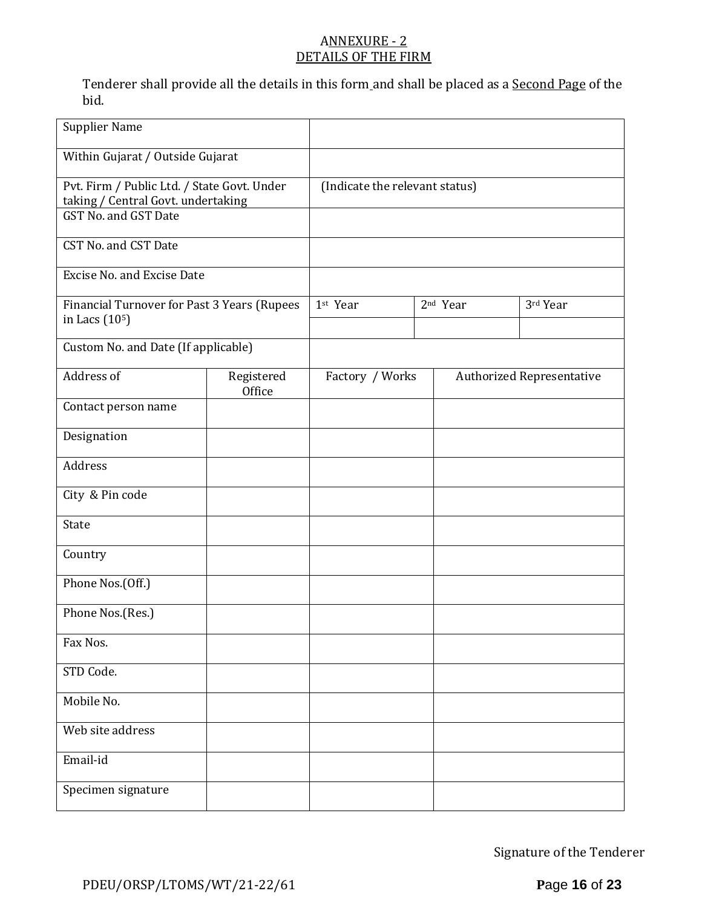## ANNEXURE - 2 DETAILS OF THE FIRM

Tenderer shall provide all the details in this form and shall be placed as a Second Page of the bid.

| <b>Supplier Name</b>                                                                                      |                      |                                |                      |                                  |
|-----------------------------------------------------------------------------------------------------------|----------------------|--------------------------------|----------------------|----------------------------------|
| Within Gujarat / Outside Gujarat                                                                          |                      |                                |                      |                                  |
| Pvt. Firm / Public Ltd. / State Govt. Under<br>taking / Central Govt. undertaking<br>GST No. and GST Date |                      | (Indicate the relevant status) |                      |                                  |
| CST No. and CST Date                                                                                      |                      |                                |                      |                                  |
| <b>Excise No. and Excise Date</b>                                                                         |                      |                                |                      |                                  |
| Financial Turnover for Past 3 Years (Rupees<br>in Lacs (10 <sup>5</sup> )                                 |                      | 1st Year                       | 2 <sup>nd</sup> Year | 3rd Year                         |
| Custom No. and Date (If applicable)                                                                       |                      |                                |                      |                                  |
| Address of                                                                                                | Registered<br>Office | Factory / Works                |                      | <b>Authorized Representative</b> |
| Contact person name                                                                                       |                      |                                |                      |                                  |
| Designation                                                                                               |                      |                                |                      |                                  |
| Address                                                                                                   |                      |                                |                      |                                  |
| City & Pin code                                                                                           |                      |                                |                      |                                  |
| State                                                                                                     |                      |                                |                      |                                  |
| Country                                                                                                   |                      |                                |                      |                                  |
| Phone Nos.(Off.)                                                                                          |                      |                                |                      |                                  |
| Phone Nos.(Res.)                                                                                          |                      |                                |                      |                                  |
| Fax Nos.                                                                                                  |                      |                                |                      |                                  |
| STD Code.                                                                                                 |                      |                                |                      |                                  |
| Mobile No.                                                                                                |                      |                                |                      |                                  |
| Web site address                                                                                          |                      |                                |                      |                                  |
| Email-id                                                                                                  |                      |                                |                      |                                  |
| Specimen signature                                                                                        |                      |                                |                      |                                  |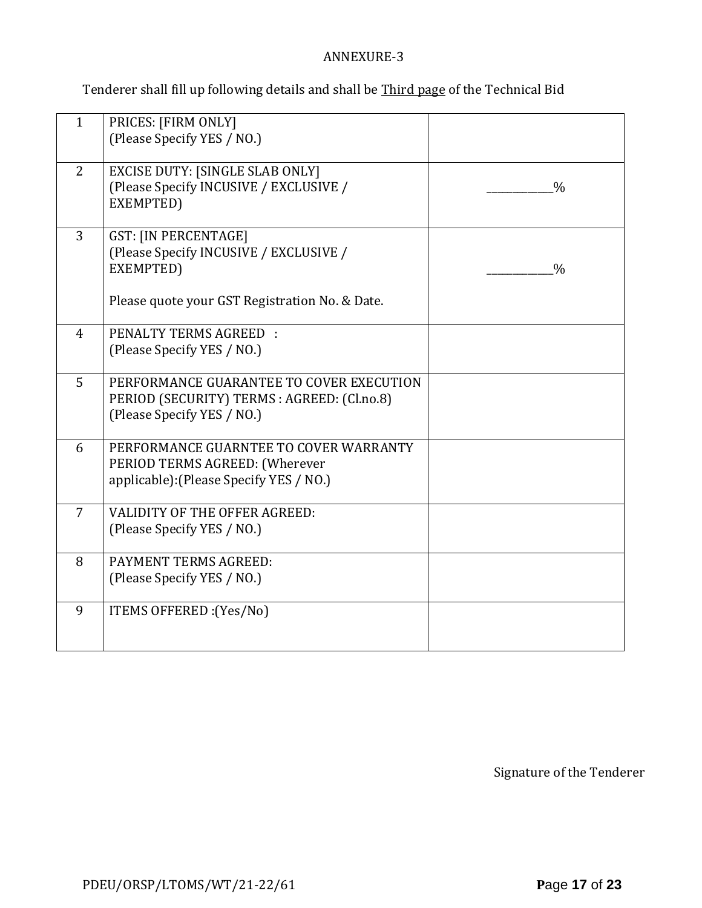## ANNEXURE-3

Tenderer shall fill up following details and shall be Third page of the Technical Bid

| $\mathbf{1}$   | PRICES: [FIRM ONLY]<br>(Please Specify YES / NO.)                                                                                    |               |
|----------------|--------------------------------------------------------------------------------------------------------------------------------------|---------------|
| 2              | <b>EXCISE DUTY: [SINGLE SLAB ONLY]</b><br>(Please Specify INCUSIVE / EXCLUSIVE /<br>EXEMPTED)                                        | $\frac{0}{0}$ |
| $\overline{3}$ | <b>GST: [IN PERCENTAGE]</b><br>(Please Specify INCUSIVE / EXCLUSIVE /<br>EXEMPTED)<br>Please quote your GST Registration No. & Date. | $\frac{0}{0}$ |
| $\overline{4}$ | PENALTY TERMS AGREED :<br>(Please Specify YES / NO.)                                                                                 |               |
| 5              | PERFORMANCE GUARANTEE TO COVER EXECUTION<br>PERIOD (SECURITY) TERMS : AGREED: (Cl.no.8)<br>(Please Specify YES / NO.)                |               |
| 6              | PERFORMANCE GUARNTEE TO COVER WARRANTY<br>PERIOD TERMS AGREED: (Wherever<br>applicable): (Please Specify YES / NO.)                  |               |
| $\overline{7}$ | <b>VALIDITY OF THE OFFER AGREED:</b><br>(Please Specify YES / NO.)                                                                   |               |
| 8              | PAYMENT TERMS AGREED:<br>(Please Specify YES / NO.)                                                                                  |               |
| 9              | ITEMS OFFERED : (Yes/No)                                                                                                             |               |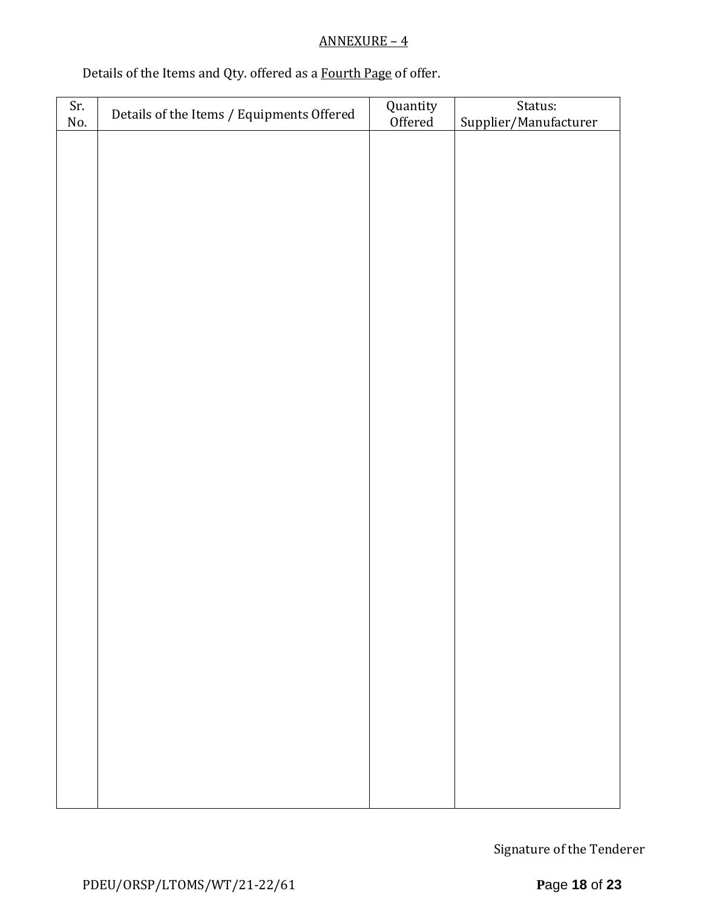# ANNEXURE – 4

# Details of the Items and Qty. offered as a Fourth Page of offer.

| Sr.<br>No. | Details of the Items / Equipments Offered | Quantity<br>Offered | Status:<br>Supplier/Manufacturer |
|------------|-------------------------------------------|---------------------|----------------------------------|
|            |                                           |                     |                                  |
|            |                                           |                     |                                  |
|            |                                           |                     |                                  |
|            |                                           |                     |                                  |
|            |                                           |                     |                                  |
|            |                                           |                     |                                  |
|            |                                           |                     |                                  |
|            |                                           |                     |                                  |
|            |                                           |                     |                                  |
|            |                                           |                     |                                  |
|            |                                           |                     |                                  |
|            |                                           |                     |                                  |
|            |                                           |                     |                                  |
|            |                                           |                     |                                  |
|            |                                           |                     |                                  |
|            |                                           |                     |                                  |
|            |                                           |                     |                                  |
|            |                                           |                     |                                  |
|            |                                           |                     |                                  |
|            |                                           |                     |                                  |
|            |                                           |                     |                                  |
|            |                                           |                     |                                  |
|            |                                           |                     |                                  |
|            |                                           |                     |                                  |
|            |                                           |                     |                                  |
|            |                                           |                     |                                  |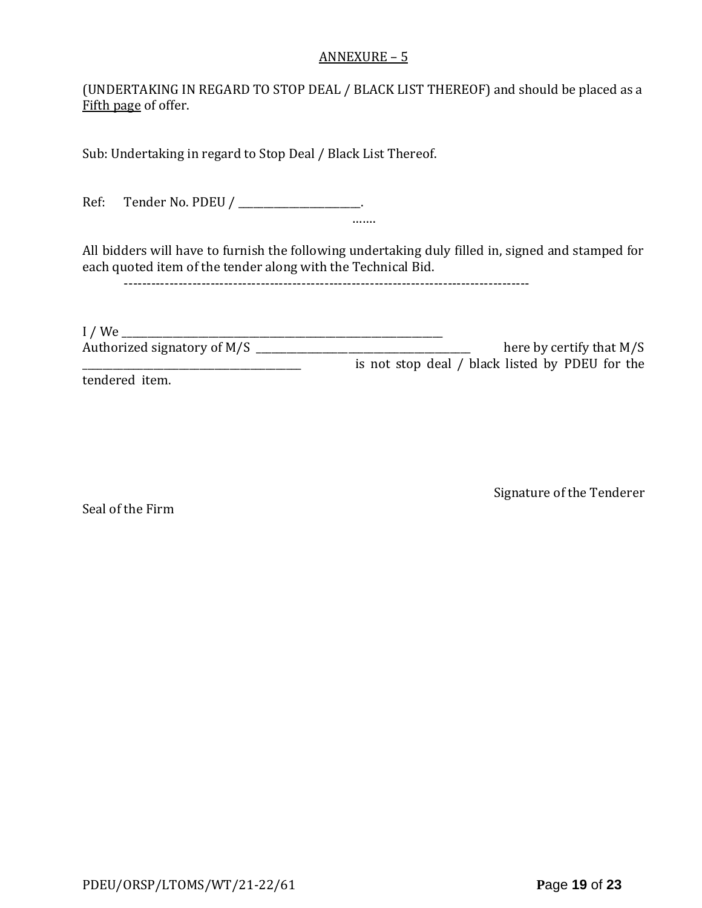#### ANNEXURE – 5

(UNDERTAKING IN REGARD TO STOP DEAL / BLACK LIST THEREOF) and should be placed as a Fifth page of offer.

Sub: Undertaking in regard to Stop Deal / Black List Thereof.

Ref: Tender No. PDEU / \_\_\_\_\_\_\_\_\_\_\_\_\_\_\_\_\_\_\_\_.

All bidders will have to furnish the following undertaking duly filled in, signed and stamped for each quoted item of the tender along with the Technical Bid.

…….

-----------------------------------------------------------------------------------------

I / We \_\_\_\_\_\_\_\_\_\_\_\_\_\_\_\_\_\_\_\_\_\_\_\_\_\_\_\_\_\_\_\_\_\_\_\_\_\_\_\_\_\_\_\_\_\_\_\_\_\_\_\_\_\_\_\_\_\_\_\_\_\_\_ Authorized signatory of M/S \_\_\_\_\_\_\_\_\_\_\_\_\_\_\_\_\_\_\_\_\_\_\_\_\_\_\_\_\_\_\_\_\_\_\_\_\_\_\_\_\_\_ here by certify that M/S \_\_\_\_\_\_\_\_\_\_\_\_\_\_\_\_\_\_\_\_\_\_\_\_\_\_\_\_\_\_\_\_\_\_\_\_\_\_\_\_\_\_\_ is not stop deal / black listed by PDEU for the tendered item.

Seal of the Firm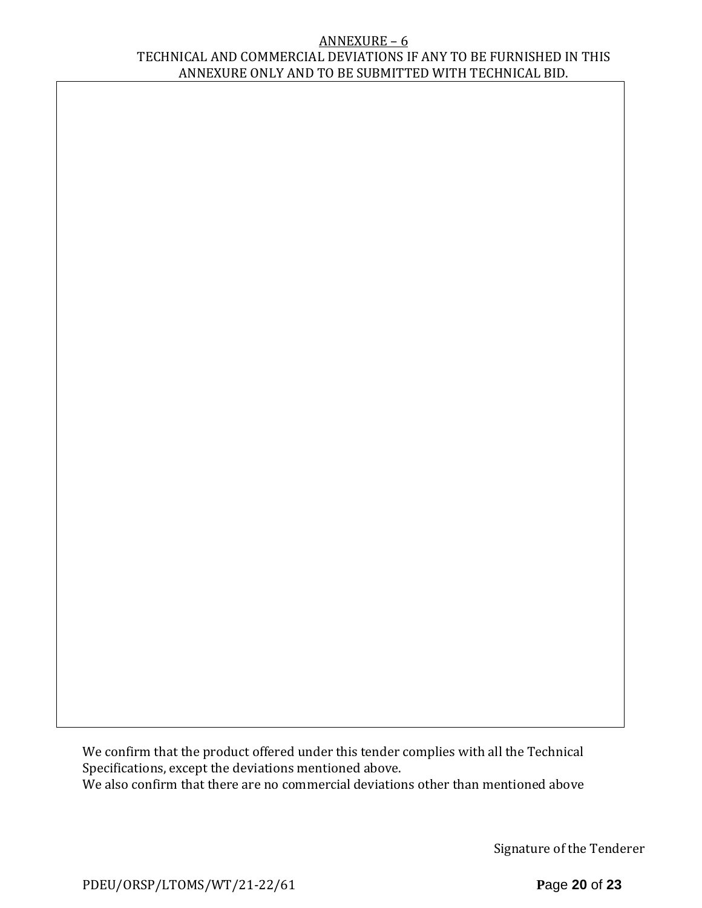#### ANNEXURE – 6 TECHNICAL AND COMMERCIAL DEVIATIONS IF ANY TO BE FURNISHED IN THIS ANNEXURE ONLY AND TO BE SUBMITTED WITH TECHNICAL BID.

We confirm that the product offered under this tender complies with all the Technical Specifications, except the deviations mentioned above. We also confirm that there are no commercial deviations other than mentioned above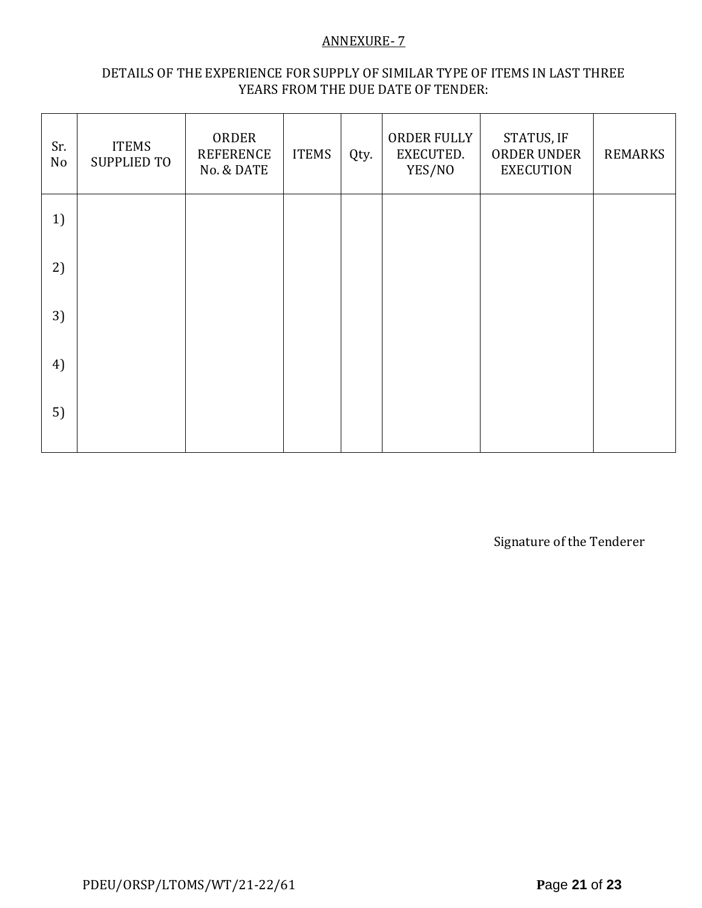### ANNEXURE- 7

### DETAILS OF THE EXPERIENCE FOR SUPPLY OF SIMILAR TYPE OF ITEMS IN LAST THREE YEARS FROM THE DUE DATE OF TENDER:

| Sr.<br>No | <b>ITEMS</b><br><b>SUPPLIED TO</b> | ORDER<br><b>REFERENCE</b><br>No. & DATE | <b>ITEMS</b> | Qty. | ORDER FULLY<br>EXECUTED.<br>YES/NO | STATUS, IF<br>ORDER UNDER<br><b>EXECUTION</b> | <b>REMARKS</b> |
|-----------|------------------------------------|-----------------------------------------|--------------|------|------------------------------------|-----------------------------------------------|----------------|
| 1)        |                                    |                                         |              |      |                                    |                                               |                |
| 2)        |                                    |                                         |              |      |                                    |                                               |                |
| 3)        |                                    |                                         |              |      |                                    |                                               |                |
| 4)        |                                    |                                         |              |      |                                    |                                               |                |
| 5)        |                                    |                                         |              |      |                                    |                                               |                |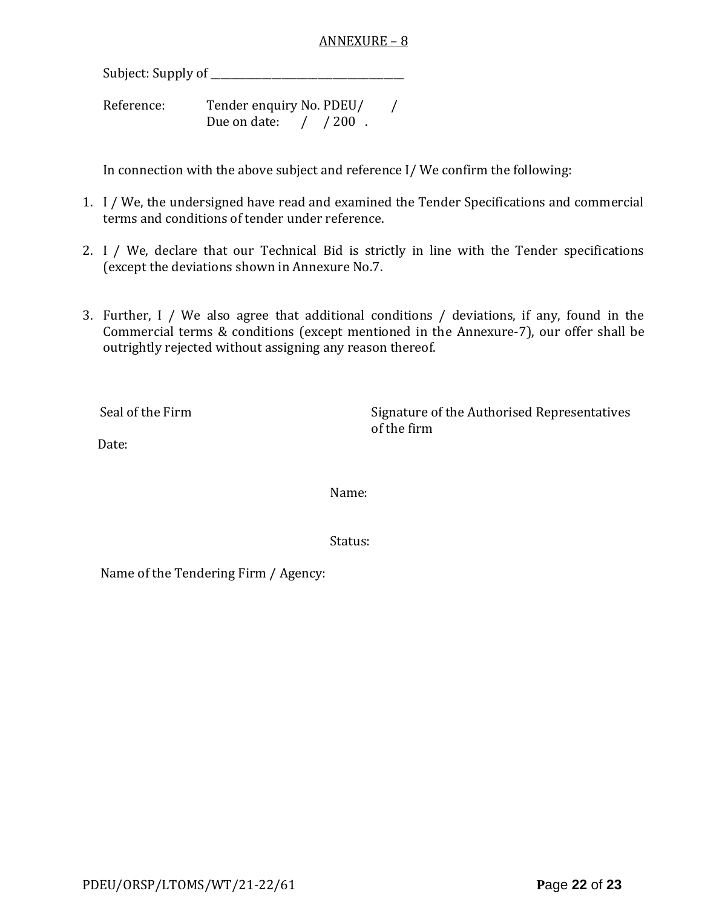#### ANNEXURE – 8

Subject: Supply of \_\_\_\_\_\_\_\_\_\_\_\_\_\_\_\_\_\_\_\_\_\_\_\_\_\_\_\_\_\_\_\_\_\_\_\_\_\_

Reference: Tender enquiry No. PDEU/ / Due on date: / / 200.

In connection with the above subject and reference I/ We confirm the following:

- 1. I / We, the undersigned have read and examined the Tender Specifications and commercial terms and conditions of tender under reference.
- 2. I / We, declare that our Technical Bid is strictly in line with the Tender specifications (except the deviations shown in Annexure No.7.
- 3. Further, I / We also agree that additional conditions / deviations, if any, found in the Commercial terms & conditions (except mentioned in the Annexure-7), our offer shall be outrightly rejected without assigning any reason thereof.

Seal of the Firm Signature of the Authorised Representatives of the firm

Date:

Name:

Status:

Name of the Tendering Firm / Agency: